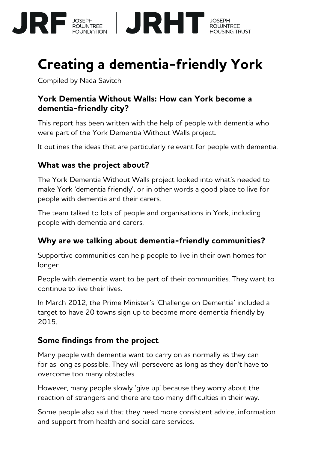

# **Creating a dementia-friendly York**

Compiled by Nada Savitch

#### **York Dementia Without Walls: How can York become a dementia-friendly city?**

This report has been written with the help of people with dementia who were part of the York Dementia Without Walls project.

It outlines the ideas that are particularly relevant for people with dementia.

#### **What was the project about?**

The York Dementia Without Walls project looked into what's needed to make York 'dementia friendly', or in other words a good place to live for people with dementia and their carers.

The team talked to lots of people and organisations in York, including people with dementia and carers.

#### **Why are we talking about dementia-friendly communities?**

Supportive communities can help people to live in their own homes for longer.

People with dementia want to be part of their communities. They want to continue to live their lives.

In March 2012, the Prime Minister's 'Challenge on Dementia' included a target to have 20 towns sign up to become more dementia friendly by 2015.

#### **Some findings from the project**

Many people with dementia want to carry on as normally as they can for as long as possible. They will persevere as long as they don't have to overcome too many obstacles.

However, many people slowly 'give up' because they worry about the reaction of strangers and there are too many difficulties in their way.

Some people also said that they need more consistent advice, information and support from health and social care services.